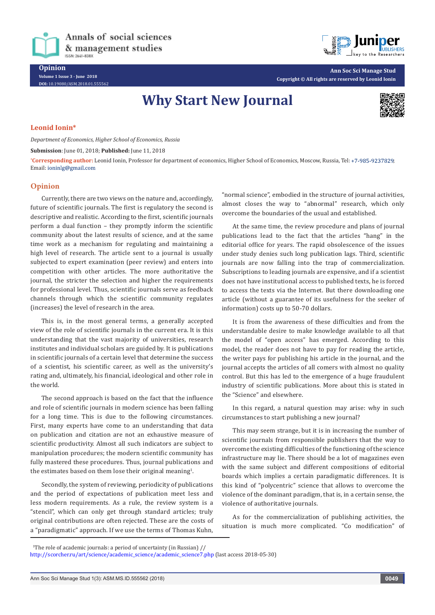Annals of social sciences & management studies ISSN: 2641-838X

**DOI:** [10.19080/ASM.2018.01.555562](http://dx.doi.org/10.19080/ASM.2018.01.555562
)



**Ann Soc Sci Manage Stud Copyright © All rights are reserved by Leonid Ionin**

# **Why Start New Journal**



### **Leonid Ionin\***

*Department of Economics, Higher School of Economics, Russia*

#### **Submission**: June 01, 2018; **Published:** June 11, 2018

**\* Corresponding author:** Leonid Ionin, Professor for department of economics, Higher School of Economics, Moscow, Russia, Tel: ; Email: ioninlg@gmail.com

## **Opinion**

Currently, there are two views on the nature and, accordingly, future of scientific journals. The first is regulatory the second is descriptive and realistic. According to the first, scientific journals perform a dual function – they promptly inform the scientific community about the latest results of science, and at the same time work as a mechanism for regulating and maintaining a high level of research. The article sent to a journal is usually subjected to expert examination (peer review) and enters into competition with other articles. The more authoritative the journal, the stricter the selection and higher the requirements for professional level. Thus, scientific journals serve as feedback channels through which the scientific community regulates (increases) the level of research in the area.

This is, in the most general terms, a generally accepted view of the role of scientific journals in the current era. It is this understanding that the vast majority of universities, research institutes and individual scholars are guided by. It is publications in scientific journals of a certain level that determine the success of a scientist, his scientific career, as well as the university's rating and, ultimately, his financial, ideological and other role in the world.

The second approach is based on the fact that the influence and role of scientific journals in modern science has been falling for a long time. This is due to the following circumstances. First, many experts have come to an understanding that data on publication and citation are not an exhaustive measure of scientific productivity. Almost all such indicators are subject to manipulation procedures; the modern scientific community has fully mastered these procedures. Thus, journal publications and the estimates based on them lose their original meaning $^{\rm 1}$ .

Secondly, the system of reviewing, periodicity of publications and the period of expectations of publication meet less and less modern requirements. As a rule, the review system is a "stencil", which can only get through standard articles; truly original contributions are often rejected. These are the costs of a "paradigmatic" approach. If we use the terms of Thomas Kuhn,

"normal science", embodied in the structure of journal activities, almost closes the way to "abnormal" research, which only overcome the boundaries of the usual and established.

At the same time, the review procedure and plans of journal publications lead to the fact that the articles "hang" in the editorial office for years. The rapid obsolescence of the issues under study denies such long publication lags. Third, scientific journals are now falling into the trap of commercialization. Subscriptions to leading journals are expensive, and if a scientist does not have institutional access to published texts, he is forced to access the texts via the Internet. But there downloading one article (without a guarantee of its usefulness for the seeker of information) costs up to 50-70 dollars.

It is from the awareness of these difficulties and from the understandable desire to make knowledge available to all that the model of "open access" has emerged. According to this model, the reader does not have to pay for reading the article, the writer pays for publishing his article in the journal, and the journal accepts the articles of all comers with almost no quality control. But this has led to the emergence of a huge fraudulent industry of scientific publications. More about this is stated in the "Science" and elsewhere.

In this regard, a natural question may arise: why in such circumstances to start publishing a new journal?

This may seem strange, but it is in increasing the number of scientific journals from responsible publishers that the way to overcome the existing difficulties of the functioning of the science infrastructure may lie. There should be a lot of magazines even with the same subject and different compositions of editorial boards which implies a certain paradigmatic differences. It is this kind of "polycentric" science that allows to overcome the violence of the dominant paradigm, that is, in a certain sense, the violence of authoritative journals.

As for the commercialization of publishing activities, the situation is much more complicated. "Co modification" of

<sup>&</sup>lt;sup>1</sup>The role of academic journals: a period of uncertainty (in Russian)  $\frac{1}{2}$ 

[http://scorcher.ru/art/science/academic\\_science/academic\\_science7.php](http://scorcher.ru/art/science/academic_science/academic_science7.php) (last access 2018-05-30)